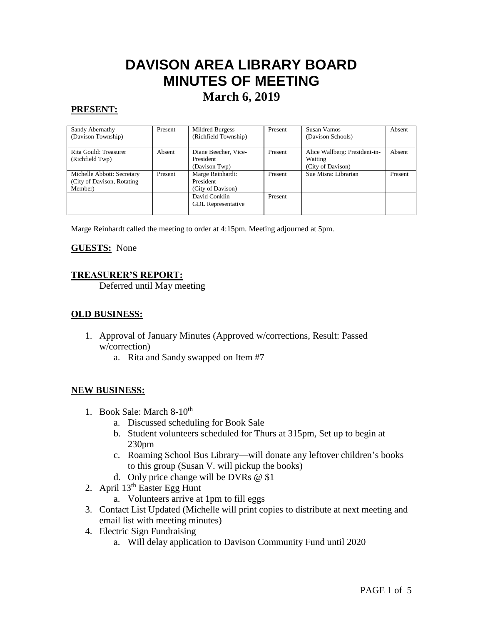# **DAVISON AREA LIBRARY BOARD MINUTES OF MEETING March 6, 2019**

## **PRESENT:**

| Sandy Abernathy<br>(Davison Township)                                | Present | Mildred Burgess<br>(Richfield Township)            | Present | Susan Vamos<br>(Davison Schools)                              | Absent  |
|----------------------------------------------------------------------|---------|----------------------------------------------------|---------|---------------------------------------------------------------|---------|
| Rita Gould: Treasurer<br>(Richfield Twp)                             | Absent  | Diane Beecher, Vice-<br>President<br>(Davison Twp) | Present | Alice Wallberg: President-in-<br>Waiting<br>(City of Davison) | Absent  |
| Michelle Abbott: Secretary<br>(City of Davison, Rotating)<br>Member) | Present | Marge Reinhardt:<br>President<br>(City of Davison) | Present | Sue Misra: Librarian                                          | Present |
|                                                                      |         | David Conklin<br><b>GDL</b> Representative         | Present |                                                               |         |

Marge Reinhardt called the meeting to order at 4:15pm. Meeting adjourned at 5pm.

## **GUESTS:** None

## **TREASURER'S REPORT:**

Deferred until May meeting

## **OLD BUSINESS:**

- 1. Approval of January Minutes (Approved w/corrections, Result: Passed w/correction)
	- a. Rita and Sandy swapped on Item #7

#### **NEW BUSINESS:**

- 1. Book Sale: March 8-10<sup>th</sup>
	- a. Discussed scheduling for Book Sale
	- b. Student volunteers scheduled for Thurs at 315pm, Set up to begin at 230pm
	- c. Roaming School Bus Library—will donate any leftover children's books to this group (Susan V. will pickup the books)
	- d. Only price change will be DVRs @ \$1
- 2. April  $13<sup>th</sup>$  Easter Egg Hunt
	- a. Volunteers arrive at 1pm to fill eggs
- 3. Contact List Updated (Michelle will print copies to distribute at next meeting and email list with meeting minutes)
- 4. Electric Sign Fundraising
	- a. Will delay application to Davison Community Fund until 2020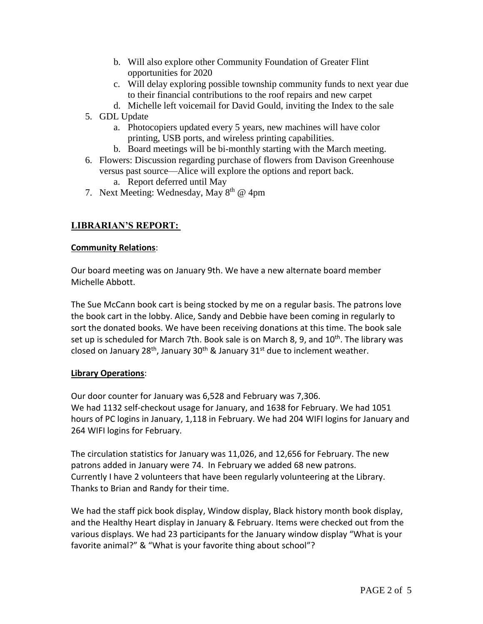- b. Will also explore other Community Foundation of Greater Flint opportunities for 2020
- c. Will delay exploring possible township community funds to next year due to their financial contributions to the roof repairs and new carpet
- d. Michelle left voicemail for David Gould, inviting the Index to the sale
- 5. GDL Update
	- a. Photocopiers updated every 5 years, new machines will have color printing, USB ports, and wireless printing capabilities.
	- b. Board meetings will be bi-monthly starting with the March meeting.
- 6. Flowers: Discussion regarding purchase of flowers from Davison Greenhouse versus past source—Alice will explore the options and report back.
	- a. Report deferred until May
- 7. Next Meeting: Wednesday, May 8<sup>th</sup> @ 4pm

# **LIBRARIAN'S REPORT:**

## **Community Relations**:

Our board meeting was on January 9th. We have a new alternate board member Michelle Abbott.

The Sue McCann book cart is being stocked by me on a regular basis. The patrons love the book cart in the lobby. Alice, Sandy and Debbie have been coming in regularly to sort the donated books. We have been receiving donations at this time. The book sale set up is scheduled for March 7th. Book sale is on March 8, 9, and 10<sup>th</sup>. The library was closed on January 28<sup>th</sup>, January 30<sup>th</sup> & January 31<sup>st</sup> due to inclement weather.

## **Library Operations**:

Our door counter for January was 6,528 and February was 7,306. We had 1132 self-checkout usage for January, and 1638 for February. We had 1051 hours of PC logins in January, 1,118 in February. We had 204 WIFI logins for January and 264 WIFI logins for February.

The circulation statistics for January was 11,026, and 12,656 for February. The new patrons added in January were 74. In February we added 68 new patrons. Currently I have 2 volunteers that have been regularly volunteering at the Library. Thanks to Brian and Randy for their time.

We had the staff pick book display, Window display, Black history month book display, and the Healthy Heart display in January & February. Items were checked out from the various displays. We had 23 participants for the January window display "What is your favorite animal?" & "What is your favorite thing about school"?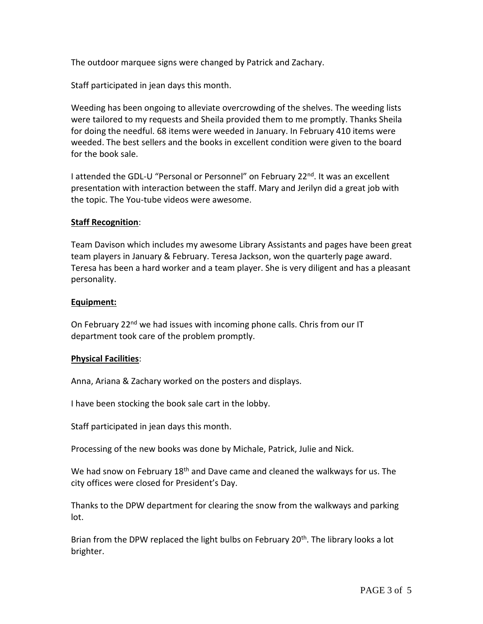The outdoor marquee signs were changed by Patrick and Zachary.

Staff participated in jean days this month.

Weeding has been ongoing to alleviate overcrowding of the shelves. The weeding lists were tailored to my requests and Sheila provided them to me promptly. Thanks Sheila for doing the needful. 68 items were weeded in January. In February 410 items were weeded. The best sellers and the books in excellent condition were given to the board for the book sale.

I attended the GDL-U "Personal or Personnel" on February 22<sup>nd</sup>. It was an excellent presentation with interaction between the staff. Mary and Jerilyn did a great job with the topic. The You-tube videos were awesome.

## **Staff Recognition**:

Team Davison which includes my awesome Library Assistants and pages have been great team players in January & February. Teresa Jackson, won the quarterly page award. Teresa has been a hard worker and a team player. She is very diligent and has a pleasant personality.

#### **Equipment:**

On February 22<sup>nd</sup> we had issues with incoming phone calls. Chris from our IT department took care of the problem promptly.

## **Physical Facilities**:

Anna, Ariana & Zachary worked on the posters and displays.

I have been stocking the book sale cart in the lobby.

Staff participated in jean days this month.

Processing of the new books was done by Michale, Patrick, Julie and Nick.

We had snow on February 18<sup>th</sup> and Dave came and cleaned the walkways for us. The city offices were closed for President's Day.

Thanks to the DPW department for clearing the snow from the walkways and parking lot.

Brian from the DPW replaced the light bulbs on February 20<sup>th</sup>. The library looks a lot brighter.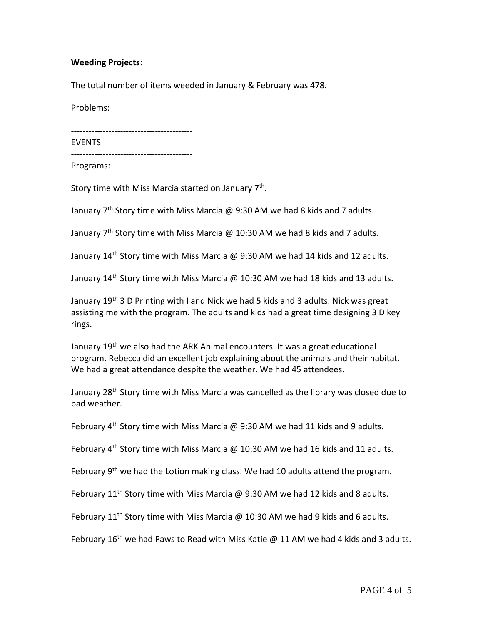## **Weeding Projects**:

The total number of items weeded in January & February was 478.

Problems:

------------------------------------------

Programs:

Story time with Miss Marcia started on January 7<sup>th</sup>.

January  $7<sup>th</sup>$  Story time with Miss Marcia @ 9:30 AM we had 8 kids and 7 adults.

January  $7<sup>th</sup>$  Story time with Miss Marcia @ 10:30 AM we had 8 kids and 7 adults.

January 14<sup>th</sup> Story time with Miss Marcia @ 9:30 AM we had 14 kids and 12 adults.

January 14<sup>th</sup> Story time with Miss Marcia @ 10:30 AM we had 18 kids and 13 adults.

January 19<sup>th</sup> 3 D Printing with I and Nick we had 5 kids and 3 adults. Nick was great assisting me with the program. The adults and kids had a great time designing 3 D key rings.

January 19<sup>th</sup> we also had the ARK Animal encounters. It was a great educational program. Rebecca did an excellent job explaining about the animals and their habitat. We had a great attendance despite the weather. We had 45 attendees.

January 28<sup>th</sup> Story time with Miss Marcia was cancelled as the library was closed due to bad weather.

February  $4<sup>th</sup>$  Story time with Miss Marcia @ 9:30 AM we had 11 kids and 9 adults.

February 4<sup>th</sup> Story time with Miss Marcia @ 10:30 AM we had 16 kids and 11 adults.

February  $9<sup>th</sup>$  we had the Lotion making class. We had 10 adults attend the program.

February  $11<sup>th</sup>$  Story time with Miss Marcia @ 9:30 AM we had 12 kids and 8 adults.

February 11<sup>th</sup> Story time with Miss Marcia @ 10:30 AM we had 9 kids and 6 adults.

February  $16<sup>th</sup>$  we had Paws to Read with Miss Katie @ 11 AM we had 4 kids and 3 adults.